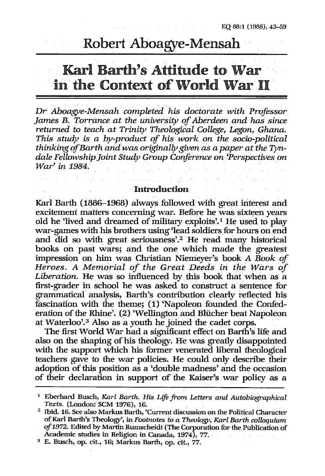# Robert Aboagye-Mensah

# Karl Barth's Attitude to War in the Context of World War 11

Dr *Aboagye-Mensah completed his doctorate with Professor James B. Torrance at the university of Aberdeen and has since returned* to *teach at Trinity Theolngical College, Legon, Ghana. This study is a by-product of his work on the socio-political thinking ofBarth and was originally given as a paper at the* 7)m*dale Fellnwship Joint Study Group Conference on 'Perspectives on War' in 1984.* 

## Introduction

Karl Barth (1886-1968) always followed with great interest and excitement matters concerning war. Before he was sixteen years old he 'lived and dreamed of military exploits'.1 He used to play war-games with his brothers using 'lead soldiers for hours on end and did so with great seriousness'.2 He read many historical books on past wars; and the one which made the greatest impression on him was Christian Niemeyer's book *A Book of Heroes. A Memorial of the Great Deeds in the Wars of Liberation.* He was so influenced by this book that when as a first-grader in school he was asked to construct a sentence for grammatical analysis, Barth's contribution clearly reflected his fascination with the theme; (1) 'Napoleon founded the Confederation of the Rhine'. (2) 'Wellington and Bliicher beat Napoleon at Waterloo'. $3$  Also as a youth he joined the cadet corps.

The first World War had a significant effect on Barth's life and also on the shaping of his theology. He was greatly disappointed with the support which his former venerated liberal theological teachers gave to the war policies. He could only describe their adoption of this position as a 'double madness' and the occasion of their declaration in support of the Kaiser's war policy as a

<sup>1</sup> Eberhard Busch, *Kart Barth.* His *Life from Letters and Autobiographical Texts.* (London: SCM 1976), 16.

<sup>2</sup> Ibid. 16. See also Markus Barth, 'Current discussion on the Political Character ofKarl Barth's Theology', in *Footnotes* to *a Theology, Karl Barth colloquium of1972.* Edited by Martin Rumscheidt (The Corporation for the Publication of Academic studies in Religion in Canada, 1974), 77.

<sup>&</sup>lt;sup>3</sup> E. Busch, op. cit., 16; Markus Barth, op. cit., 77.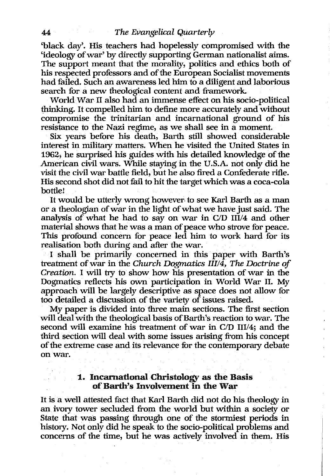'black day'. His teachers had hopelessly compromised with the 'ideology of war' by directly supporting German nationalist aims. The support meant that the morality, politics and ethics both of his respected professors and of the European Socialist movements had failed. Such an awareness led him to a diligent and laborious search for a new theological content and framework.

World War 11 also had an immense effect on his socio-political thinking. It compelled him to define more accurately and without compromise the trinitarian and incarnational ground of his resistance to the Nazi regime, as we shall see in a moment.

Six years before his death, Barth still showed considerable interest in military matters. When he visited the United States in 1962; he surprised his guides with his detailed knowledge of the American civil wars. While staying in the U.S.A. not only did he visit the civil war battle field, but he also fired a Confederate rifle. His second shot did not fail to hit the target which was a coca-cola bottle!

It would be utterly wrong however, to see Karl Barth as a man or a theologian of war in the light of what we have just said. The analysis of what he had to say on war in *CID* 111/4 and other material shows that he was a man of peace who strove for peace. This profound concern for peace led him to work hard for its realisation both during and after the war.

1 shall be primarily concerned in this paper with Barth's treatment of war in the *Church Dogmatics IIII4, The Doctrine of Creation.* 1 will try to show how his presentation of war in the Dogmatics reflects his own participation in World War 11. My approach will be largely descriptive as space does not allow for too detailed a discussion of the variety of issues raised.

My paper is divided into three main sections. The first section will deal with the theological basis of Barth's reaction to war. The second will examine his treatment of war in *CID III/4;* and the third section will deal with some issues arising from his concept of the extreme case and its relevance for the contemporary debate on war.

## 1. Incarnational Christology as the Basis of Barth's Involvement in the War

It is a well attested fact that Karl Barth did not do his theology in an ivory tower secluded from the world but within a society or State that was passing through one of the stormiest periods in history. Not only did he speak to the socio-political problems and concerns of the time, but he was actively involved in them. His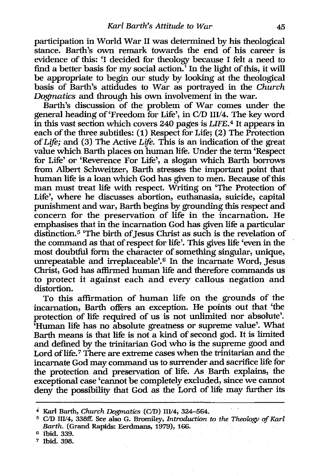participation in World War II was determined by his theological stance. Barth's own remark towards the end of his career is evidence of this: 'I decided for theology because I felt a need to find a better basis for my social action.' In the light of this, it will be appropriate to begin our study by looking at the theological basis of Barth's attidudes to War as portrayed in the *Church Dogmatics* and through his own involvement in the war.

Barth's discussion of the problem of War comes under the general heading of 'Freedom for Life', in CID I1I/4. The key word in this vast section which covers 240 pages is *LIFE.4* It appears in each of the three subtitles: (1) Respect for Life; (2) The Protection of *Life;* and (3) The Active *Life.* This is an indication of the great value which Barth places on human life. Under the term 'Respect for Life' or 'Reverence For Life', a slogan which Barth borrows from Albert Schweitzer, Barth stresses the important point that human life is a loan which God has given to men. Because of this man must treat life with respect. Writing on 'The Protection of Life', where he discusses abortion, euthanasia, suicide, capital punishment and war, Barth begins by grounding this respect and concern for the preservation of life in the incarnation. He emphasises that in the incarnation God has given life a particular distinction.<sup>5</sup> 'The birth of Jesus Christ as such is the revelation of the command as that of respect for life'. This gives life 'even in the most doubtful form the character of something singular, unique, unrepeatable and irreplaceable'.6 In the incarnate Word, Jesus Christ, God has affirmed human life and therefore commands us to protect it against each and every callous negation and distortion.

To this affirmation of human life on the grounds of the incarnation, Barth offers an exception. He points out that 'the protection of life required of us is not unlimited nor absolute'. 'Human life has no absolute greatness or supreme value'. What Barth means is that life is not a kind of second god. It is limited and defined by the trinitarian God who is the supreme good and Lord of life.<sup>7</sup> There are extreme cases when the trinitarian and the incarnate God may command us to surrender and sacrifice life for . the protection and preservation of life. As Barth explains, the exceptional case 'cannot be completely excluded, since we cannot deny the possibility that God as the Lord of life may further its

<sup>&</sup>lt;sup>4</sup> Karl Barth, *Church Dogmatics* (C/D) III/4, 324-564.

<sup>5</sup>*CID III/4,* 338ff. See also G. Bromiley, *Introduction* to *the Theology of Karl Barth.* (Grand Rapids: Eerdmans, 1979), 166.

<sup>&</sup>lt;sup>6</sup> Ibid. 339.

<sup>7</sup> Ibid. 398.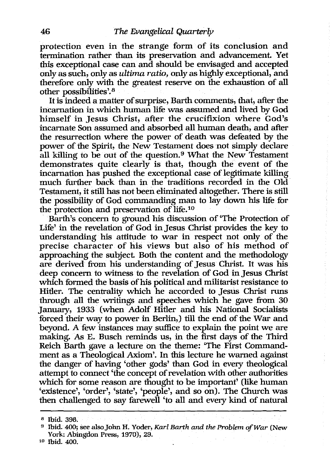protection even in the strange form of its conclusion and termination rather than its preservation and advancement. Yet this exceptional case can and should be envisaged and accepted only as such, only as *ultima ratio,* only as highly exceptional, and therefore only with the greatest reserve on the exhaustion of all other possibilities'.<sup>8</sup>

It is indeed a matter of surprise, Barth comments, that, after the incarnation in which human life was assumed and lived by God himself in Jesus Christ, after the crucifixion where God's incarnate Son assumed and absorbed all human death, and after the resurrection where the power of death was defeated by the power of the Spirit, the New Testament does not simply declare all killing to be out of the question.<sup>9</sup> What the New Testament demonstrates quite clearly is that, though the event of the incarnation has pushed the exceptional case of legitimate killing much further back than in the traditions recorded in the Old Testament, it still has not been eliminated altogether. There is still the possibility of God commanding man to lay down his life for the protection and preservation of life. 10

Barth's concern to ground his discussion of 'The Protection of Life' in the revelation of God in Jesus Christ provides the key to understanding his attitude to war in respect not only of the precise character of his views but also of his method of approaching the subject. Both the content and the methodology are derived from his understanding of Jesus Christ. It was his deep concern to witness to the revelation of God in Jesus Christ which formed the basis of his political and militarist resistance to Hitler. The centrality which he accorded to Jesus Christ runs through all the writings and speeches which he gave from 30 January, 1933 (when Adolf Hitler and his National Socialists forced their way to power in Berlin,) till the end of the War and beyond. A few instances may suffice to explain the point we are making. As E. Busch reminds us, in the first days of the Third Reich Barth gave a lecture on the theme: 'The First Commandment as a Theological Axiom'. In this lecture he warned against the danger of having 'other gods' than God in every theological attempt to connect 'the concept of revelation with other authorities which for some reason are thought to be important' (like human 'existence', 'order', 'state', 'people', and so on). The Church was then challenged to say farewell 'to all and every kind of natural

<sup>8</sup> Ibid. 398.

<sup>9</sup> Ibid. 400; see also John H. Yoder, *Karl Barth and the Problem afWar* (New York: Abingdon Press, 1970),29.

<sup>&</sup>lt;sup>10</sup> Ibid. 400.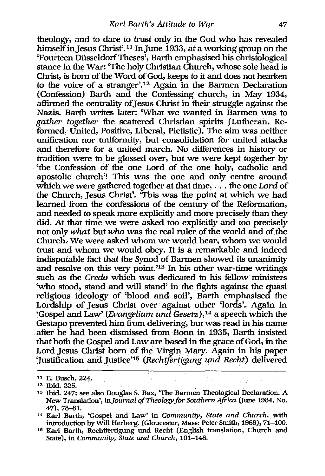theology, and to dare to trust only in the God who has revealed himself in Jesus Christ'.<sup>11</sup> In June 1933, at a working group on the 'Fourteen DiisseldorfTheses', Barth emphasised his christological stance in the War: 'The holy Christian Church, whose sole head is Christ, is born of the Word of God, keeps to it and does not hearken to the voice of a stranger'.12 Again in the Barmen Declaration (Confession) Barth and the Confessing church, in May 1934, affirmed the centrality of Jesus Christ in their struggle against the Nazis. Barth writes later: 'What we wanted in Barmen was to *gather together* the scattered Christian spirits (Lutheran, Reformed, United, Positive, Liberal, Pietistic). The aim was neither unification nor uniformity, but consolidation for united attacks and therefore for a united march. No differences in history or tradition were to be glossed over, but we were kept together by 'the Confession of the one Lord of the one holy, catholic and apostolic church'! This was the one and only centre around which we were gathered together at that time, . . . the one *Lord* of the Church, Jesus Christ'. 'This was the point at which we had learned from the confessions of the century of the Reformation, and needed to speak more explicitly and more precisely than they did. At that time we were asked too explicitly and too precisely not only *what* but *who* was the real ruler of the world and of the Church. We were asked whom we would hear, whom we would trust and whom we would obey. It is a remarkable and indeed indisputable fact that the Synod of Barmen showed its unanimity and resolve on this *very* point. '13 In his other war-time writings such as the *Credo* which was dedicated to his fellow ministers 'who stood, stand and will stand' in the fights against the quasi religious ideology of 'blood and soil', Barth emphasised the Lordship of Jesus Christ over against other 'lords'. Again in 'Gospel and Law' *(Evangelium und Gesetz),14* a speech which the Gestapo prevented him from delivering, but was read in his name after he had been dismissed from Bonn in 1935, Barth insisted that both the Gospel and Law are based in the grace of God, in the Lord Jesus Christ born of the Virgin Mary. Again in his paper :Justification and Justice'15 *(RechtJertigung und Recht)* delivered

11 E. Busch, 224.

<sup>12</sup> Ibid. 225.

<sup>&</sup>lt;sup>13</sup> Ibid. 247; see also Douglas S. Bax, 'The Barmen Theological Declaration. A New Translation', in *Journal of Theology for Southern Africa* (June 1984, No. 47),78-81.

<sup>14</sup> Karl Barth, 'Gospel and Law' in *Community, State and Church,* with introduction by Will Herberg. (Gloucester, Mass: Peter Smith, 1968), 71-100.

<sup>15</sup> Karl Barth, Rechtfertigung und Recht (English translation, Church and State), in *Community, State and Church, 101-148.*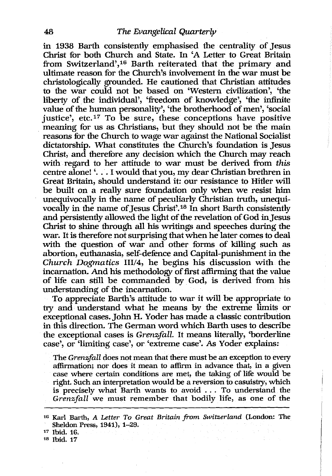in 1938 Barth consistently emphasised the centrality of Jesus Christ for both Church and State. In 'A Letter to Great Britain from Switzerland',16 Barth reiterated that the primary and ultimate reason for the Church's involvement in the war must be christologically grounded. He cautioned that Christian attitudes to the war could not be based on 'Western civilization', 'the liberty of the individual', 'freedom of knowledge', 'the infinite value of the human personality', 'the brotherhood of men', 'social justice', etc.<sup>17</sup> To be sure, these conceptions have positive meaning for us as Christians, but they should not be the main reasons for the Church to wage war against the National Socialist dictatorship. What constitutes the Church's foundation is Jesus Christ, and therefore any decision which the Church may reach with regard to her attitude to war must be derived from *this*  centre alone! '. . . I would that you, my dear Christian brethren in Great Britain, should understand it: our resistance to Hitler will be built on a really sure foundation only when we resist him unequivocally in the name of peculiarly Christian truth, unequivocally in the name of Jesus Christ'.<sup>18</sup> In short Barth consistently and persistently allowed the light of the revelation of God in Jesus Christ to shine through all his writings and speeches during the war. It is therefore not swprising that when he later comes to deal with the question of war and other forms of killing such as abortion, euthanasia, self-defence and Capital-punishment in the *Church Dogmatics III/4*, he begins his discussion with the incarnation. And his methodology of first affirming that the value of life can still be commanded by God, is derived from his understanding of the incarnation.

To appreciate Barth's attitude to war it will be appropriate to try and understand what he means by the extreme limits or exceptional cases. John H. Yoder has made a classic contribution in this direction. The German word which Barth uses to describe the exceptional cases is *Grenzifall.* It means literally, 'borderline case', or 'limiting case', or 'extreme case'. As Yoder explains:

The *Grenz,fall* does not mean that there must be an exception to every affirmation; nor does it mean to affirm in advance that, in a given case where certain conditions are met, the taking of life would be right. Such an interpretation would be a reversion to casuistry, which is precisely what Barth wants to avoid ... To understand the *Grenzfall* we must remember that bodily life, as one of the

<sup>1</sup>B Karl Barth, A *Letter To Great Britain from Switzerland* (London: The Sheldon Press, 1941), 1-29.

<sup>17</sup> Ibid. 16.

<sup>18</sup> Ibid. 17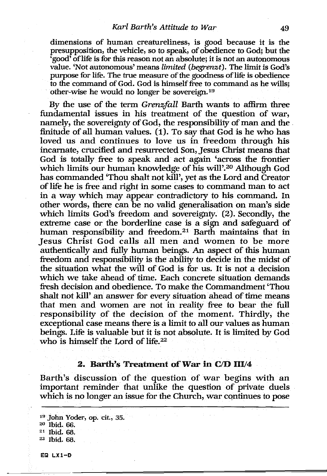dimensions of human creatureliness, is good because it is the presupposition, the vehicle, so to speak, of obedience to God; but the 'good' oflife is for this reason not an absolute; it is not an autonomous value. 'Not autonomous' means *limited (begrenzt).* The limit is God's purpose for life. The true measure of the goodness of life is obedience to the command of God. God is himself free to command as he wills; other-wise he would no longer be sovereign.19

By the use of the term *Grenzfall* Barth wants to affirm three fundamental issues in his treatment of the question of war, namely, the sovereignty of God, the responsibility of man and the finitude of all human values. (1). To say that God is he who has loved us and continues to love us in freedom through his incarnate, crucified and resurrected Son, Jesus Christ means that God is totally free to speak and act again 'across the frontier which limits our human knowledge of his will'.20 Although God has commanded 'Thou shalt not kill', yet as the Lord and Creator of life he is free and right in some cases to command man to act in a way which may appear contradictory to his command. In other words, there can be no valid generalisation on man's side which limits God's freedom and sovereignty. (2). Secondly, the extreme case or the borderline case is a sign and safeguard of human responsibility and freedom.<sup>21</sup> Barth maintains that in Jesus Christ God calls all men and women to be more authentically and fully human beings. An aspect of this human freedom and responsibility is the ability to decide in the midst of the situation what the will of God is for us. It is not a decision which we take ahead of time. Each concrete situation demands fresh decision and obedience. To make the Commandment 'Thou shalt not kill' an answer for *every* situation ahead of time means that men and women are not in reality free to bear the full responsibility of the decision of the moment. Thirdly, the exceptional case means there is a limit to all our values as human beings. Life is valuable but it is not absolute. It is limited by God who is himself the Lord of life. $22$ 

## 2. Barth's Treatment of War in C/D III/4

Barth's discussion of the question of war begins with an important reminder that unlike the question of private duels which is no longer an issue for the Church, war continues to pose

19 John Yoder, op. cit., 35. 20 Ibid. 66. 21 Ibid. 68. 22 Ibid. 68.

EQ LX1-D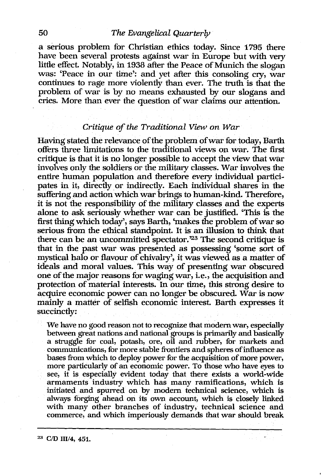## 50 *The Evangelical Quarterly*

a serious problem for Christian ethics today. Since 1795 there have been several protests against war in Europe but with very little effect. Notably, in 1938 after the Peace of Munich the slogan was: 'Peace in our time': and yet after this consoling cry, war continues to rage more violently than ever. The truth is that the problem of war is by no means exhausted by our slogans and cries. More than ever the question of war claims our attention.

# *Critique of the Traditional View on War*

Having stated the relevance of the problem of war for today, Barth offers three limitations to the traditional views on war. The first critique is that it is no longer possible to accept the view that war involves only the soldiers or the military classes. War involves the entire human population and therefore every individual participates in it, directly or indirectly. Each individual shares in the suffering and action which war brings to human-kind. Therefore, it is not the responsibility of the military classes and the experts alone to ask seriously whether war can be justified. 'This is the first thing which today', says Barth, 'makes the problem of war so serious from the ethical standpoint. It is an illusion to think that there can be an uncommitted spectator.'23 The second critique is that in. the past war was presented as possessing 'some sort of mystical halo or flavour of chivalry', it was viewed as a matter of ideals and moral values. This way of presenting war obscured one of the major reasons for waging war, i.e., the acquisition and protection of material interests. In our time, this strong desire to acquire economic power can no longer be obscured. War is now mainly a matter of selfish economic interest. Barth expresses it succinctly:

We have no good reason not to recognize that modem war, especially between great nations and national groups is primarily and basically a struggle for coal, potash, ore, oil and rubber, for markets and communications, for more stable frontiers and spheres of influence as bases from which to deploy power for the acquisition of more power, more particularly of an economic power. To those who have eyes to see, it is especially evident today that there exists a world-wide armaments industry which has many ramifications, which is initiated and spurred on by modem technical science, which is always forging ahead on its own account, which is closely linked with many other branches of industry, technical science and commerce, and which imperiously demands that war should break

<sup>23</sup> C/D III/4, 451.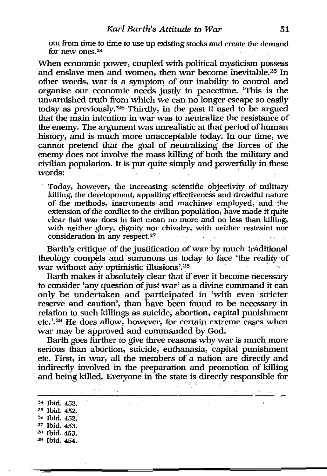out from time to time to use up existing stocks and create the demand for new ones.24

When economic power, coupled with political mysticism possess and enslave men and women, then war become inevitable.25 In other words, war is a symptom of our inability to control and organise our economic needs justly in peacetime. 'This is the unvarnished truth from which we can no longer escape so easily today as previously. '26 Thirdly, in the past it used to be argued that the main intention in war was to neutralize the resistance of the enemy. The argument was unrealistic at that period of human history, and is much more unacceptable today. In our time, we cannot pretend that the goal of neutralizing the forces of the enemy does not involve the mass killing of both the military and civilian population. It is put quite simply and powerfully in these words:  $\frac{1}{2}$  , a seem the probability of the probability  $\frac{1}{2}$  , and  $\frac{1}{2}$ 

Today, however, the increasing scientific objectivity of military killing, the development, appalling effectiveness and dreadful nature of the methods, instruments and machines employed, and· the extension of the conflict to the civilian population, have made it quite clear that war does in fact mean no more and no less than killing, with neither glory, dignity nor chivalry, with neither restraint nor consideration in any respect. 27

Barth's critique of the justification of war by much traditional theology compels and summons us today to face 'the reality of war without any optimistic illusions'. $28$ 

Barth makes it absolutely clear that if ever it become necessary to consider 'any question of just war' as a divine command it can only be undertaken and participated in 'with even stricter reserve and caution', than have been found to be necessary in relation to such killings as suicide, abortion, capital punishment etc.'.29 He does allow, however, for certain extreme cases when war may be approved and commanded by God.

Barth goes further to give three reasons why war is much more serious than abortion, suicide, euthanasia, capital punishment etc. First, in war, all the members of a nation are directly and indirectly involved in the preparation and promotion of killing and being killed. Everyone in the state is directly responsible for

24 Ibid. 452. 25 Ibid. 452. 26 Ibid. 452. 27 Ibid. 453. 28 Ibid. 453. 29 Ibid. 454.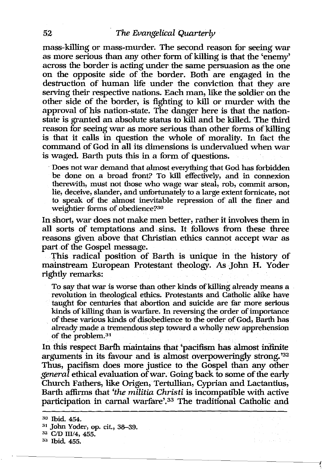mass-killing or mass-murder. The second reason for seeing war as more serious than any other form of killing is that the 'enemy' across the border is acting under the same persuasion as the one on the opposite side of the border. Both are engaged in the destruction of human life under the conviction that they are serving their respective nations. Each man, like the soldier on the other side of the border, is fighting to kill or murder with the approval of his nation-state. The danger here is that the nationstate is granted an absolute status to kill and be killed. The third reason for seeing war as more serious than other forms of killing is that it calls in question the whole of morality. In fact the command of God in all its dimensions is undervalued when war is waged. Barth puts this in a form of questions.

. Does not war demand that almost everything that God has forbidden be done on a broad front? To kill effectively, and in connexion therewith, must not those who wage war steal, rob, commit arson, lie, deceive, slander, and unfortunately to a large extent fornicate, not to speak of the almost inevitable repression of all the finer and weightier forms of obedience?30

In short, war does not make men better, rather it involves them in all sorts of temptations and· sins. It follows from these three reasons given above that Christian ethics cannot accept war as part of the Gospel message.

This radical position of Barth is unique in the history of mainstream European Protestant theology. As John H. Yoder rightly remarks:

To say that war is worse than other kinds of killing already means a revolution in theological ethics. Protestants and Catholic alike have taught for centuries that abortion and suicide are far more serious kinds of killing than is warfare. In reversing the order of importance of these various kinds of disobedience to the order of God, Barth has already made a tremendous step toward a wholly new apprehension of the problem.<sup>31</sup>

In this respect Barth maintains that 'pacifism has almost infinite arguments in its favour and is almost overpoweringly strong. '32 Thus, pacifism does more justice to the Gospel than any other *general* ethical evaluation of war. Going back to some of the early Church Fathers, like Origen, Tertullian, Cyprian and Lactantius, Barth affirms that *'the militia Christi* is incompatible with active participation in carnal warfare'.33 The traditional Catholic and

the capacities

<sup>&</sup>lt;sup>30</sup> Ibid. 454.

<sup>&</sup>lt;sup>31</sup> John Yoder, op. cit., 38-39.

<sup>32</sup> C/D III/4, 455.

<sup>33</sup> Ibid. 455.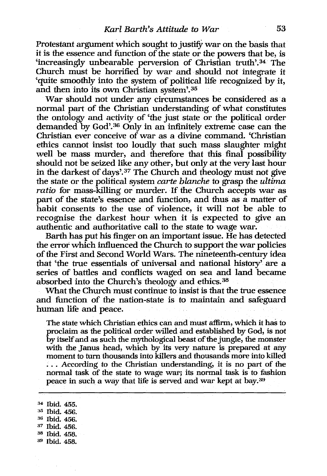Protestant argument which sought to justify war on the basis that it is the essence and function of the state or the powers that be, is 'increasingly unbearable perversion of Christian truth'.34 The Church must be horrified by war and should not integrate it 'quite smoothly into the system of political life recognized by it, and then into its own Christian system'.35

War should not under any circumstances be considered as a normal part of the Christian understanding of what constitutes the ontology and activity of 'the just state or the political order demanded by God'.36 Only in an infinitely extreme case can the Christian ever conceive of war as a divine command. 'Christian ethics cannot insist too loudly that such mass slaughter might well be mass murder, and therefore that this final possibility should not be seized like any other, but only at the very last hour in the darkest of days'. 37 The Church and theology must not give the state or the political system *carte blanche* to grasp the *ultima ratio* for mass-killing or murder. If the Church accepts war as part of the state's essence and function, and thus as a matter of habit consents to the use of violence, it will not be able to recognise the darkest hour when it is expected to give an authentic and authoritative call to the state to wage war.

Barth has put his finger on an important issue. He has detected the error which influenced the Church to support the war policies of the First and Second World Wars. The nineteenth-century idea that 'the true essentials of universal and national history' are a series of battles and conflicts waged on sea and land became absorbed into the Church's theology and ethics.<sup>38</sup>

What the Church must continue to insist is that the true essence and function of the nation-state is to maintain and safeguard human life and peace.

The state which Christian ethics can and must affirm, which it has to proclaim as the political order willed and established by God, is not by itself and as such the mythological beast of the jungle, the monster with the Janus head, which by its *very* nature is prepared at any moment to turn thousands into killers and thousands more into killed ... According to the Christian understanding, it is no part of the normal task of the state to wage war; its normal task is to fashion peace in such a way that life is served and war kept at bay.<sup>39</sup>

34 Ibid. 455. <sup>35</sup> Ibid. 456. <sup>36</sup> Ibid. 456. <sup>37</sup> Ibid. 456. <sup>38</sup> Ibid. 458. 39 Ibid. 458.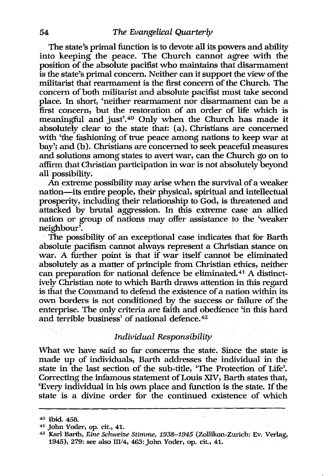The state's primal function is to devote all its powers and ability into keeping the peace. The Church cannot agree with the position of the absolute pacifist who maintains that disarmament is the state's primal concern. Neither can it support the view of the militarist that rearmament is the first concern of the Church. The concern of both militarist and absolute pacifist must take second place. In short, 'neither rearmament nor disarmament can be a first concern, but the restoration of an order of life which is meaningful and just'.40 Only when the Church has made it absolutely clear to the state that: (a). Christians are concerned with 'the fashioning of true peace among nations to keep war at bay'; and (b). Christians are concerned to seek peaceful measures and solutions among states to avert war, can the Church go on to affirm that Christian participation in war is not absolutely beyond all possibility.

An extreme possibility may arise when the survival of a weaker nation-its entire people, their physical, spiritual and intellectual prosperity, including their relationship to God, is threatened and attacked by brutal aggression. In this extreme case an allied nation or group of nations may offer assistance to the 'weaker neighbour'.

The possibility of an exceptional case indicates that for Barth absolute pacifism cannot always represent a Christian stance on war. A further point is that if war itself cannot be eliminated absolutely as a matter of principle from Christian ethics, neither can preparation for national defence be eliminated.<sup>41</sup> A distinctively Christian note to which Barth draws attention in this regard is that the Command to defend the existence of a nation within its own borders is not conditioned by the success or failure of the enterprise. The only criteria are faith and obedience 'in this hard and terrible business' of national defence. 42

# *Individual Responsibility*

What we have said so far concerns the state. Since the state is made up of individuals, Barth addresses the individual in the state in the last section of the sub-title, 'The Protection of Life'. Correcting the infamous statement of Louis XIV, Barth states that, 'Every individual in his own place and function is the state. If the state is a divine order for the continued existence of which

<sup>40</sup> Ibid. 458.

<sup>41</sup> John Yoder, 0p, cit., 41.

<sup>42</sup> Karl Barth, *Eine Schweize Stimme,* 1938-1945 (Zollikon-Zurich: Ev. Verlag, 1945), 279: see also 111/4, 463: John Yoder, op. cit., 41.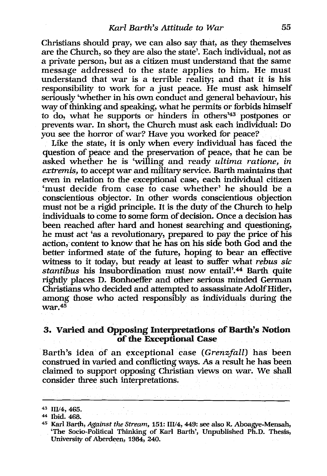Christians should pray, we can also say that, as they themselves are the Church, so they are also the state'. Each individual, not as a private person, but as a citizen must understand that the same message addressed to the state applies to him. He must understand that war is a terrible reality; and that it is his responsibility to work for a just peace. He must ask himself seriously 'whether in his own conduct and general behaviour, his way of thinking and speaking, what he permits or forbids himself to do, what he supports or hinders in others'43 postpones or prevents war. In short, the Church must ask each individual: Do you see the horror of war? Have you worked for peace?

Like the state, it is only when *every* individual has faced the question of peace and the preservation of peace, that he can be asked whether he is 'willing and ready *ultima ratione, in extremis,* to accept war and military service. Barth maintains that even in relation to the exceptional case, each individual citizen 'must decide from case to case whether' he should be a conscientious objector. In other words conscientious objection must not be a rigid principle. It is the duty of the Church to help individuals to come to some form of decision. Once a decision has been reached after hard and honest searching and questioning, he must act 'as a revolutionary, prepared to pay the price of his action, content to know that he has on his side both God and the better informed state of the future, hoping to bear an effective witness to it today, but ready at least to suffer what *rebus sic stantibus* his insubordination must now entail'.44 Barth quite rightly places D. Bonhoeffer and other serious minded German Christians who decided and attempted to assassinate Adolf Hitler, among those who acted responsibly as individuals during the war.45

# 3. Varied and Opposing Interpretations of Barth's Notion of the Exceptional Case

Barth's idea of an exceptional case *(Grenzfall)* has been construed in varied and conflicting ways. As a result he has been claimed to support opposing Christian views on war. We shall consider three such interpretations.

<sup>4:1</sup> *111/4, 465.* 

<sup>44</sup> Ibid. 468.

<sup>45</sup> Karl Barth, *Against the Stream,* 151: *111/4,* 449: see also R. Aboagye-Mensah, 'The Socio-Political Thinking of Karl Barth', Unpublished Ph.D. Thesis, University of Aberdeen, 1984, 240.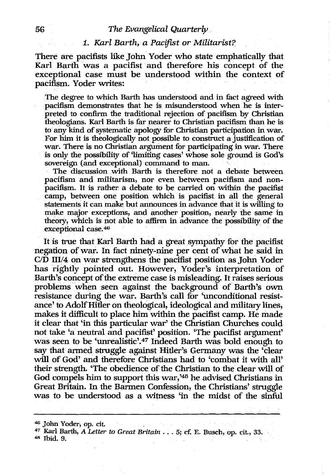# 56 *The Evangelical Quarterly*

#### *1. Karl Barth, a Pacifist* or *Militarist?*

There are pacifists like John Voder who state emphatically that Karl Barth was a pacifist and therefore his concept of the exceptional case must be understood within the context of pacifism. Voder writes:

The degree to which Barth has understood and in fact agreed with pacifism demonstrates that he is misunderstood when he is interpreted to confirm the traditional rejection of pacifism by Christian theologians. Karl Barth is far nearer to Christian pacifism than he is to any kind of systematic apology for Christian participation in war. For him it is theologically not possible to construct a justification of war. There is no Christian argument for participating in war. There is only the possibility of 'limiting cases' whose sole ground is God's sovereign (and exceptional) command to man.

The discussion with Barth is therefore not a debate between pacifism and militarism, nor even between pacifism and nonpacifism. It is rather a debate to be carried on within the pacifist camp, between one position which is pacifist in all the general statements it can make but announces in advance that it is willing to make major exceptions, and another position, nearly the same in theory, which is not able to affirm in advance the possibility of the exceptional case. 46

It is true that Karl Barth had a great sympathy for the pacifist negation of war. In fact ninety-nine per cent of what he said in *CID* III/4 on war strengthens the pacifist position as John Voder has rightly pointed out. However, Voder's interpretation of Barth's concept of the extreme case is misleading. It raises serious problems when seen against the background of Barth's own resistance during the war. Barth's call for 'unconditional resistance' to Adolf Hitler on theological, ideological and military lines, makes it difficult to place him within the pacifist camp. He made it clear that 'in this particular war' the Christian Churches could not take 'a neutral and pacifist' position. 'The pacifist argument' was seen to be 'unrealistic'.47 Indeed Barth was bold enough to say that armed struggle against Hitler's Germany was the 'clear will of God' and therefore Christians had to 'combat it with all' their strength. 'The obedience of the Christian to the clear will of God compels him to support this war,'48 he advised Christians in Great Britain. In the Barmen Confession, the Christians' struggle was to be understood as a witness 'in the midst of the sinful

<sup>46</sup> John Yoder, op. cit.

<sup>47</sup> Karl Barth, *A Letter to Great Britain* . . . 5; cf. E. Busch, op. cit., 33. <sup>48</sup> Ibid. 9.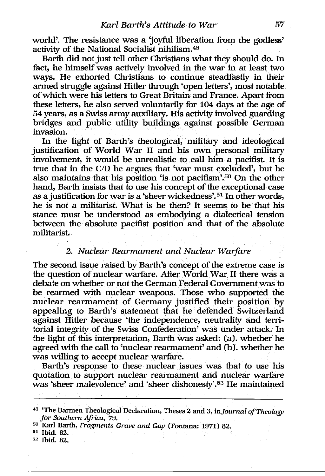world'. The resistance was a 'joyful liberation from the godless' activity of the National Socialist nihilism.49

Barth did not just tell other Christians what they should do. In fact, he himself was actively involved in the war in at least two ways. He exhorted Christians to continue steadfastly in their armed struggle against Hitler through 'open letters', most notable of which were his letters to Great Britain and France. Apart from these letters, he also served voluntarily for 104 days at the age of 54 years, as a Swiss army auxiliary. His activity involved guarding bridges and public utility buildings against possible German invasion.

In the light of Barth's theological, military and ideological justification of World War 11 and his own personal military involvement, it would be unrealistic to call him a pacifist. It is true that in the CID he argues that 'war must excluded', but he also maintains that his position 'is not pacifism'. 50 On the other hand, Barth insists that to use his concept of the exceptional case as a justification for war is a 'sheer wickedness'. 51 In other words, he is not a militarist. What is he then? It seems to be that his stance must be understood as embodying a dialectical tension between the absolute pacifist position and that of the absolute militarist.

# *2. Nuclear Rearmament and Nuclear Warfare*

The second issue raised by Barth's concept of the extreme case is the question of nuclear warfare. After World War 11 there was a debate on whether or not the German Federal Government was to be rearmed with nuclear weapons. Those who supported the nuclear rearmament of Germany justified their position by appealing to Barth's statement that he defended Switzerland against Hitler because 'the independence, neutrality and territorial integrity of the Swiss Confederation' was under attack. In the light of this interpretation, Barth was asked: (a). whether he agreed with the call to 'nuclear rearmament' and (b). whether he was willing to accept nuclear warfare.

Barth's response to these nuclear issues was that to use his quotation to support nuclear rearmament and nuclear warfare was 'sheer malevolence' and 'sheer dishonesty'.<sup>52</sup> He maintained

<sup>49</sup>'The Barmen Theological Declaration, Theses 2 and 3, *inJournalofTheology for Southern Africa, 79.* 

<sup>50</sup> Karl Barth, *Fragments Grave and Gay* (Fontana: 1971) 82. 51 Ibid. 82.

<sup>52</sup> Ibid. 82.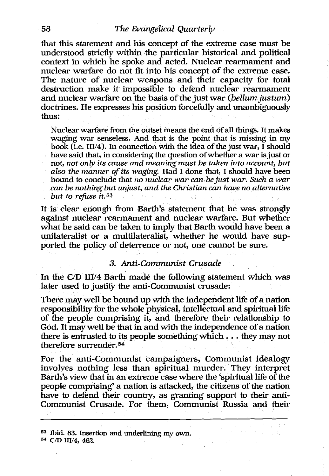that this statement and his concept of the extreme case must be understood strictly within the particular historical and political context in which he spoke and acted. Nuclear rearmament and nuclear warfare do not fit into his concept of the extreme case. The nature of nuclear weapons and their capacity for total destruction make it impossible to defend nuclear rearmament and nuclear warfare on the basis of the just war *(bellum justum)* doctrines. He expresses his position forcefully and unambiguously thus:

Nuclear warfare from the outset means the end of all things. It makes waging war senseless. And that is the point that is missing in my book (i.e. I1I/4). In connection with the idea of the just war, I should have said that, in considering the question of whether a war is just or not, *not only its cause and meaning must be taken into account, but also the manner of its waging.* Had I done that, I should have been bound to conclude that *no nuclear war can be just war. Such a war can be nothing but unjust, and the Christian can have no alternative but to refuse it.*<sup>53</sup>

It is clear enough from Barth's statement that he was strongly against nuclear rearmament and nuclear warfare. But whether what he said can be taken to imply that Barth would have been a unilateralist or a multilateralist, whether he would have supported the policy of deterrence or not, one cannot be sure.

#### *3. Anti-Communist Crusade*

In the C/D III/4 Barth made the following statement which was later used to justify the anti-Communist crusade:

There may well be bound up with the independent life of a nation responsibility for the whole physical, intellectual and spiritual life of the people comprising it, and therefore their relationship to God. It may well be that in and with the independence of a nation there is entrusted to its people something which ... they may not therefore surrender. 54

For the anti-Communist campaigners, Communist idealogy involves nothing less than spiritual murder. They interpret Barth's view that in an extreme case where the 'spiritual life of the people comprising' a nation is attacked, the citizens of the nation have to defend their country, as granting support to their anti-Communist Crusade. For them, Communist Russia and their

 $53$  Ibid. 83. Insertion and underlining my own. 54 C/D III/4, 462.